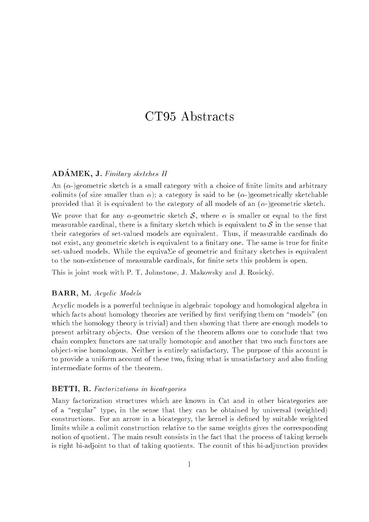# CT95 Abstracts

#### $AD\acute{A}MEK$ , J. Finitary sketches II

An  $(\alpha)$  geometric sketch is a small category with a choice of finite limits and arbitrary colimits (of size smaller than  $\alpha$ ); a category is said to be ( $\alpha$ -)geometrically sketchable provided that it is equivalent to the category of all models of an  $(\alpha)$ -)geometric sketch.

We prove that for any  $\alpha$ -geometric sketch S, where  $\alpha$  is smaller or equal to the first measurable cardinal, there is a finitary sketch which is equivalent to  $S$  in the sense that their categories of set-valued models are equivalent. Thus, if measurable cardinals do not exist, any geometric sketch is equivalent to a finitary one. The same is true for finite set-valued models. While the equiva $\Sigma$ e of geometric and finitary sketches is equivalent to the non-existence of measurable cardinals, for finite sets this problem is open.

This is joint work with P. T. Johnstone, J. Makowsky and J. Rosicky.

#### BARR, M. Acyclic Models

Acyclic models is a powerful technique in algebraic topology and homological algebra in which facts about homology theories are verified by first verifying them on "models" (on which the homology theory is trivial) and then showing that there are enough models to present arbitrary ob jects. One version of the theorem allows one to conclude that two chain complex functors are naturally homotopic and another that two such functors are ob ject-wise homologous. Neither is entirely satisfactory. The purpose of this account is to provide a uniform account of these two, fixing what is unsatisfactory and also finding intermediate forms of the theorem.

#### BETTI, R. Factorizations in bicategories

Many factorization structures which are known in Cat and in other bicategories are of a "regular" type, in the sense that they can be obtained by universal (weighted) constructions. For an arrow in a bicategory, the kernel is defined by suitable weighted limits while a colimit construction relative to the same weights gives the corresponding notion of quotient. The main result consists in the fact that the process of taking kernels is right bi-adjoint to that of taking quotients. The counit of this bi-adjunction provides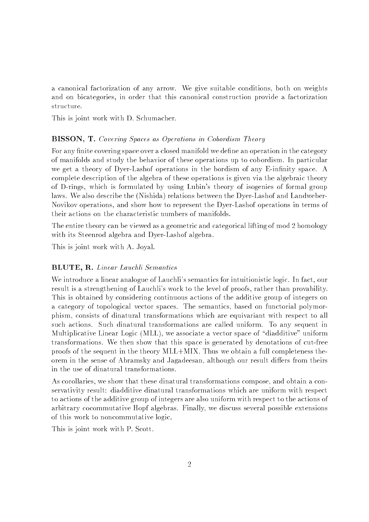a canonical factorization of any arrow. We give suitable conditions, both on weights and on bicategories, in order that this canonical construction provide a factorization structure.

This is joint work with D. Schumacher.

#### BISSON, T. Covering Spaces as Operations in Cobordism Theory

For any finite covering space over a closed manifold we define an operation in the category of manifolds and study the behavior of these operations up to cobordism. In particular we get a theory of Dyer-Lashof operations in the bordism of any E-infinity space. A complete description of the algebra of these operations is given via the algebraic theory of D-rings, which is formulated by using Lubin's theory of isogenies of formal group laws. We also describe the (Nishida) relations between the Dyer-Lashof and Landweber-Novikov operations, and show how to represent the Dyer-Lashof operations in terms of their actions on the characteristic numbers of manifolds.

The entire theory can be viewed as a geometric and categorical lifting of mod 2 homology with its Steenrod algebra and Dyer-Lashof algebra.

This is joint work with A. Joyal.

#### BLUTE, R. Linear Lauchli Semantics

We introduce a linear analogue of Lauchli's semantics for intuitionistic logic. In fact, our result is a strengthening of Lauchli's work to the level of proofs, rather than provability. This is obtained by considering continuous actions of the additive group of integers on a category of topological vector spaces. The semantics, based on functorial polymorphism, consists of dinatural transformations which are equivariant with respect to all such actions. Such dinatural transformations are called uniform. To any sequent in Multiplicative Linear Logic (MLL), we associate a vector space of "diadditive" uniform transformations. We then show that this space is generated by denotations of cut-free proofs of the sequent in the theory MLL+MIX. Thus we obtain a full completeness theorem in the sense of Abramsky and Jagadeesan, although our result differs from theirs in the use of dinatural transformations.

As corollaries, we show that these dinatural transformations compose, and obtain a conservativity result: diadditive dinatural transformations which are uniform with respect to actions of the additive group of integers are also uniform with respect to the actions of arbitrary cocommutative Hopf algebras. Finally, we discuss several possible extensions of this work to noncommutative logic.

This is joint work with P. Scott.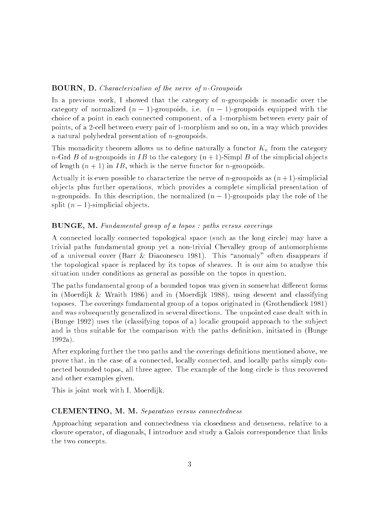### BOURN, D. Characterization of the nerve of n-Groupoids

In a previous work, I showed that the category of *n*-groupoids is monadic over the category of normalized  $(n - 1)$ -groupoids, i.e.  $(n - 1)$ -groupoids equipped with the choice of a point in each connected component, of a 1-morphism between every pair of points, of a 2-cell between every pair of 1-morphism and so on, in a way which provides a natural polyhedral presentation of *n*-groupoids.

This monadicity theorem allows us to define naturally a functor  $K_n$  from the category n-Grd B of n-groupoids in IB to the category  $(n + 1)$ -Simpl B of the simplicial objects of length  $(n + 1)$  in IB, which is the nerve functor for *n*-groupoids.

Actually it is even possible to characterize the nerve of *n*-groupoids as  $(n+1)$ -simplicial ob jects plus further operations, which provides a complete simplicial presentation of *n*-groupoids. In this description, the normalized  $(n - 1)$ -groupoids play the role of the split  $(n - 1)$ -simplicial objects.

## BUNGE, M. Fundamental group of a topos : paths versus coverings

A connected locally connected topological space (such as the long circle) may have a trivial paths fundamental group yet a non-trivial Chevalley group of automorphisms of a universal cover (Barr & Diaconescu 1981). This "anomaly" often disappears if the topological space is replaced by its topos of sheaves. It is our aim to analyse this situation under conditions as general as possible on the topos in question.

The paths fundamental group of a bounded topos was given in somewhat different forms in (Moerdijk & Wraith 1986) and in (Moerdijk 1988), using descent and classifying toposes. The coverings fundamental group of a topos originated in (Grothendieck 1981) and was subsequently generalized in several directions. The unpointed case dealt with in (Bunge 1992) uses the (classifying topos of a) localic groupoid approach to the sub ject and is thus suitable for the comparison with the paths definition, initiated in (Bunge 1992a).

After exploring further the two paths and the coverings definitions mentioned above, we prove that, in the case of a connected, locally connected, and locally paths simply connected bounded topos, all three agree. The example of the long circle is thus recovered and other examples given.

This is joint work with I. Moerdijk.

#### CLEMENTINO, M. M. Separation versus connectedness

Approaching separation and connectedness via closedness and denseness, relative to a closure operator, of diagonals, I introduce and study a Galois correspondence that links the two concepts.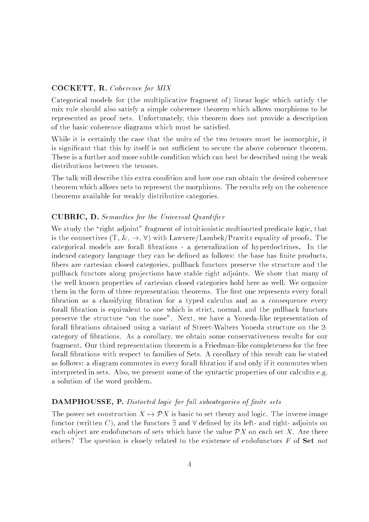## COCKETT, R. Coherence for MIX

Categorical models for (the multiplicative fragment of) linear logic which satisfy the mix rule should also satisfy a simple coherence theorem which allows morphisms to be represented as proof nets. Unfortunately, this theorem does not provide a description of the basic coherence diagrams which must be satised.

While it is certainly the case that the units of the two tensors must be isomorphic, it is significant that this by itself is not sufficient to secure the above coherence theorem. There is a further and more subtle condition which can best be described using the weak distributions between the tensors.

The talk will describe this extra condition and how one can obtain the desired coherence theorem which allows nets to represent the morphisms. The results rely on the coherence theorems available for weakly distributive categories.

## CUBRIC, D. Semantics for the Universal Quantier

We study the "right adjoint" fragment of intuitionistic multisorted predicate logic, that is the connectives  $(T, \& , \rightarrow, \forall)$  with Lawvere/Lambek/Prawitz equality of proofs. The categorical models are forall brations - a generalization of hyperdoctrines. In the indexed category language they can be defined as follows: the base has finite products, fibers are cartesian closed categories, pullback functors preserve the structure and the pullback functors along pro jections have stable right adjoints. We show that many of the well known properties of cartesian closed categories hold here as well. We organize them in the form of three representation theorems. The first one represents every forall bration as a classifying bration for a typed calculus and as a consequence every forall fibration is equivalent to one which is strict, normal, and the pullback functors preserve the structure "on the nose". Next, we have a Yoneda-like representation of forall brations obtained using a variant of Street-Walters Yoneda structure on the 2 category of brations. As a corollary, we obtain some conservativeness results for our fragment. Our third representation theorem is a Friedman-like completeness for the free forall fibrations with respect to families of Sets. A corollary of this result can be stated as follows: a diagram commutes in every forall bration if and only if it commutes when interpreted in sets. Also, we present some of the syntactic properties of our calculus e.g. a solution of the word problem.

#### **DAMPHOUSSE, P.** Distorted logic for full subcategories of finite sets

The power set construction  $X \mapsto \mathcal{P}X$  is basic to set theory and logic. The inverse image functor (written C), and the functors  $\exists$  and  $\forall$  defined by its left- and right- adjoints on each object are endofunctors of sets which have the value  $\mathcal{P}X$  on each set X. Are there others? The question is closely related to the existence of endofunctors  $F$  of  $Set$  not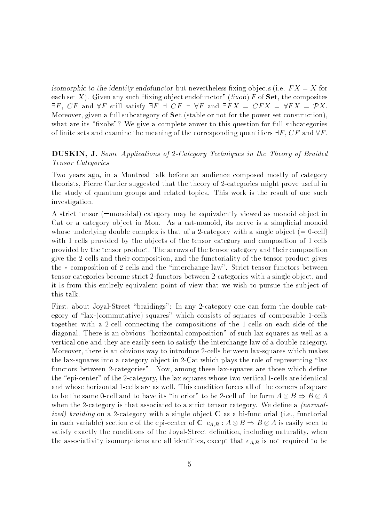isomorphic to the identity endofunctor but nevertheless fixing objects (i.e.  $FX = X$  for each set X). Given any such "fixing object endofunctor" (fixob) F of Set, the composites  $\exists F. \; CF \; \text{and} \; \forall F \; \text{still satisfy} \; \exists F \; \dashv \; CF \; \dashv \; \forall F \; \text{and} \; \exists FX = CFX = \forall FX = \mathcal{P}X.$ Moreover, given a full subcategory of **Set** (stable or not for the power set construction), what are its "fixobs"? We give a complete anwer to this question for full subcategories of finite sets and examine the meaning of the corresponding quantifiers  $\exists F, CF$  and  $\forall F$ .

## DUSKIN, J. Some Applications of 2-Category Techniques in the Theory of Braided Tensor Categories

Two years ago, in a Montreal talk before an audience composed mostly of category theorists, Pierre Cartier suggested that the theory of 2-categories might prove useful in the study of quantum groups and related topics. This work is the result of one such investigation.

A strict tensor (=monoidal) category may be equivalently viewed as monoid ob ject in Cat or a category object in Mon. As a cat-monoid, its nerve is a simplicial monoid whose underlying double complex is that of a 2-category with a single object  $(= 0$ -cell) with 1-cells provided by the objects of the tensor category and composition of 1-cells provided by the tensor product. The arrows of the tensor category and their composition give the 2-cells and their composition, and the functoriality of the tensor product gives the \*-composition of 2-cells and the "interchange law". Strict tensor functors between tensor categories become strict 2-functors between 2-categories with a single ob ject, and it is from this entirely equivalent point of view that we wish to pursue the subject of this talk.

First, about Joyal-Street "braidings": In any 2-category one can form the double category of "lax-(commutative) squares" which consists of squares of composable 1-cells together with a 2-cell connecting the compositions of the 1-cells on each side of the diagonal. There is an obvious "horizontal composition" of such lax-squares as well as a vertical one and they are easily seen to satisfy the interchange law of a double category. Moreover, there is an obvious way to introduce 2-cells between lax-squares which makes the lax-squares into a category object in 2-Cat which plays the role of representing  $\text{"lax}$ functors between 2-categories". Now, among these lax-squares are those which define the "epi-center" of the 2-category, the lax squares whose two vertical 1-cells are identical and whose horizontal 1-cells are as well. This condition forces all of the corners of square to be the same 0-cell and to have its "interior" to be 2-cell of the form  $A \otimes B \Rightarrow B \otimes A$ when the 2-category is that associated to a strict tensor category. We define a *(normalized)* braiding on a 2-category with a single object  $C$  as a bi-functorial (i.e., functorial in each variable) section c of the epi-center of C  $c_{A,B}: A \otimes B \Rightarrow B \otimes A$  is easily seen to satisfy exactly the conditions of the Joyal-Street definition, including naturality, when the associativity isomorphisms are all identities, except that  $c_{A,B}$  is not required to be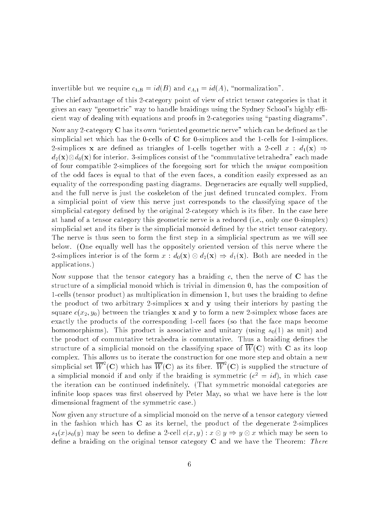invertible but we require  $c_{1,B} = id(B)$  and  $c_{A,1} = id(A)$ , "normalization".

The chief advantage of this 2-category point of view of strict tensor categories is that it gives an easy "geometric" way to handle braidings using the Sydney School's highly efficient way of dealing with equations and proofs in 2-categories using "pasting diagrams".

Now any 2-category  $C$  has its own "oriented geometric nerve" which can be defined as the simplicial set which has the 0-cells of  $C$  for 0-simplices and the 1-cells for 1-simplices. 2-simplices **x** are defined as triangles of 1-cells together with a 2-cell  $x : d_1(\mathbf{x}) \Rightarrow$  $d_2(\mathbf{x}) \otimes d_0(\mathbf{x})$  for interior. 3-simplices consist of the "commutative tetrahedra" each made of four compatible 2-simplices of the foregoing sort for which the unique composition of the odd faces is equal to that of the even faces, a condition easily expressed as an equality of the corresponding pasting diagrams. Degeneracies are equally well supplied, and the full nerve is just the coskeleton of the just defined truncated complex. From a simplicial point of view this nerve just corresponds to the classifying space of the simplicial category defined by the original 2-category which is its fiber. In the case here at hand of a tensor category this geometric nerve is a reduced (i.e., only one 0-simplex) simplicial set and its ber is the simplicial monoid dened by the strict tensor category. The nerve is thus seen to form the first step in a simplicial spectrum as we will see below. (One equally well has the oppositely oriented version of this nerve where the 2-simplices interior is of the form  $x : d_0(\mathbf{x}) \otimes d_2(\mathbf{x}) \Rightarrow d_1(\mathbf{x})$ . Both are needed in the applications.)

Now suppose that the tensor category has a braiding  $c$ , then the nerve of  $C$  has the structure of a simplicial monoid which is trivial in dimension 0, has the composition of 1-cells (tensor product) as multiplication in dimension 1, but uses the braiding to dene the product of two arbitrary 2-simplices <sup>x</sup> and y using their interiors by pasting the square  $c(x_2, y_0)$  between the triangles **x** and **y** to form a new 2-simplex whose faces are exactly the products of the corresponding 1-cell faces (so that the face maps become homomorphisms). This product is associative and unitary (using  $s_0(1)$  as unit) and the product of commutative tetrahedra is commutative. Thus a braiding defines the structure of a simplicial monoid on the classifying space of  $W(\mathbf{C})$  with  $\mathbf{C}$  as its loop simplicial set  $\overline{W}^2(C)$  which has  $\overline{W}(C)$  as its fiber.  $\overline{W}^2(C)$  is supplied the structure of a simplicial monoid if and only if the braiding is symmetric  $(c^2 = id)$ , in which case the iteration can be continued indefinitely. (That symmetric monoidal categories are infinite loop spaces was first observed by Peter May, so what we have here is the low dimensional fragment of the symmetric case.)

Now given any structure of a simplicial monoid on the nerve of a tensor category viewed in the fashion which has  $C$  as its kernel, the product of the degenerate 2-simplices  $s_1(x) s_0(y)$  may be seen to define a 2-cell  $c(x,y) : x \otimes y \Rightarrow y \otimes x$  which may be seen to define a braiding on the original tensor category  $C$  and we have the Theorem: There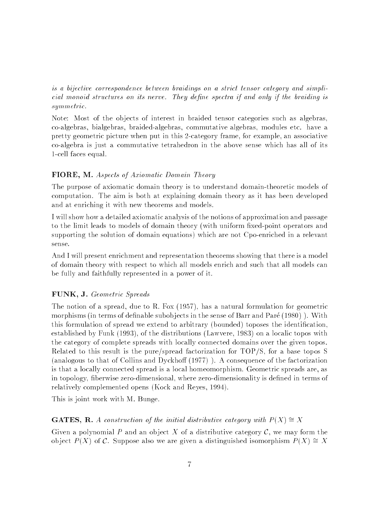is a bijective correspondence between braidings on a strict tensor category and simplicial monoid structures on its nerve. They define spectra if and only if the braiding is  $summetric.$ symmetric control to the control of the control of the control of the control of the control of the control of

Note: Most of the objects of interest in braided tensor categories such as algebras, co-algebras, bialgebras, braided-algebras, commutative algebras, modules etc. have a pretty geometric picture when put in this 2-category frame, for example, an associative co-algebra is just a commutative tetrahedron in the above sense which has all of its 1-cell faces equal.

## FIORE, M. Aspects of Axiomatic Domain Theory

The purpose of axiomatic domain theory is to understand domain-theoretic models of computation. The aim is both at explaining domain theory as it has been developed and at enriching it with new theorems and models.

I will show how a detailed axiomatic analysis of the notions of approximation and passage to the limit leads to models of domain theory (with uniform fixed-point operators and supporting the solution of domain equations) which are not Cpo-enriched in a relevant

And I will present enrichment and representation theorems showing that there is a model of domain theory with respect to which all models enrich and such that all models can be fully and faithfully represented in a power of it.

#### FUNK, J. Geometric Spreads

The notion of a spread, due to R. Fox (1957), has a natural formulation for geometric morphisms (in terms of definable subobjects in the sense of Barr and Paré  $(1980)$ ). With this formulation of spread we extend to arbitrary (bounded) toposes the identification, established by Funk (1993), of the distributions (Lawvere, 1983) on a localic topos with the category of complete spreads with locally connected domains over the given topos. Related to this result is the pure/spread factorization for TOP/S, for a base topos S (analogous to that of Collins and Dyckhoff  $(1977)$ ). A consequence of the factorization is that a locally connected spread is a local homeomorphism. Geometric spreads are, as in topology, fiberwise zero-dimensional, where zero-dimensionality is defined in terms of relatively complemented opens (Kock and Reyes, 1994).

This is joint work with M. Bunge.

#### **GATES, R.** A construction of the initial distributive category with  $P(X) \cong X$

Given a polynomial P and an object X of a distributive category  $\mathcal{C}$ , we may form the object  $P(X)$  of C. Suppose also we are given a distinguished isomorphism  $P(X) \cong X$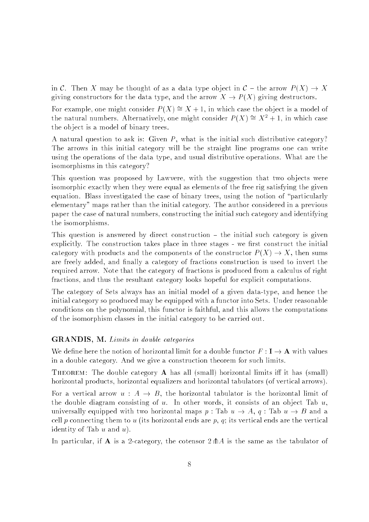in C. Then X may be thought of as a data type object in  $C$  – the arrow  $P(X) \to X$ giving constructors for the data type, and the arrow  $X \to P(X)$  giving destructors.

For example, one might consider  $P(X) \cong X + 1$ , in which case the object is a model of the natural numbers. Alternatively, one might consider  $P(X) \cong X^2 + 1$ , in which case the ob ject is a model of binary trees.

A natural question to ask is: Given  $P$ , what is the initial such distributive category? The arrows in this initial category will be the straight line programs one can write using the operations of the data type, and usual distributive operations. What are the isomorphisms in this category?

This question was proposed by Lawvere, with the suggestion that two objects were isomorphic exactly when they were equal as elements of the free rig satisfying the given equation. Blass investigated the case of binary trees, using the notion of "particularly elementary" maps rather than the initial category. The author considered in a previous paper the case of natural numbers, constructing the initial such category and identifying the isomorphisms.

This question is answered by direct construction  $-$  the initial such category is given explicitly. The construction takes place in three stages - we first construct the initial category with products and the components of the constructor  $P(X) \to X$ , then sums are freely added, and finally a category of fractions construction is used to invert the required arrow. Note that the category of fractions is produced from a calculus of right fractions, and thus the resultant category looks hopeful for explicit computations.

The category of Sets always has an initial model of a given data-type, and hence the initial category so produced may be equipped with a functor into Sets. Under reasonable conditions on the polynomial, this functor is faithful, and this allows the computations of the isomorphism classes in the initial category to be carried out.

#### GRANDIS, M. Limits in double categories

We define here the notion of horizontal limit for a double functor  $F: I \to A$  with values in a double category. And we give a construction theorem for such limits.

THEOREM: The double category  $\bf{A}$  has all (small) horizontal limits iff it has (small) horizontal products, horizontal equalizers and horizontal tabulators (of vertical arrows).

For a vertical arrow  $u : A \rightarrow B$ , the horizontal tabulator is the horizontal limit of the double diagram consisting of  $u$ . In other words, it consists of an object Tab  $u$ , universally equipped with two horizontal maps p : Tab  $u \to A$ , q : Tab  $u \to B$  and a cell p connecting them to u (its horizontal ends are  $p, q$ ; its vertical ends are the vertical identity of Tab  $u$  and  $u$ ).

In particular, if A is a 2-category, the cotensor  $2 \text{A}$  is the same as the tabulator of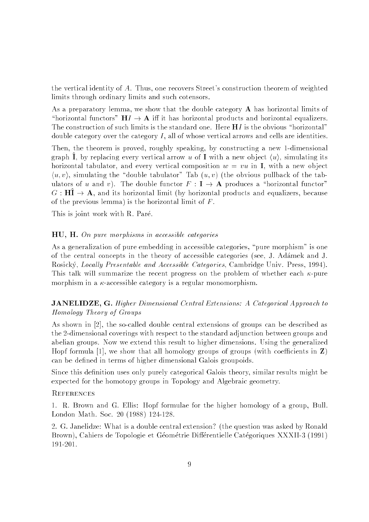the vertical identity of A. Thus, one recovers Street's construction theorem of weighted limits through ordinary limits and such cotensors.

As a preparatory lemma, we show that the double category  $A$  has horizontal limits of "horizontal functors"  $H I \rightarrow A$  iff it has horizontal products and horizontal equalizers. The construction of such limits is the standard one. Here  $H I$  is the obvious "horizontal" double category over the category  $I$ , all of whose vertical arrows and cells are identities.

Then, the theorem is proved, roughly speaking, by constructing a new 1-dimensional graph  $\hat{I}$ , by replacing every vertical arrow u of I with a new object  $\langle u \rangle$ , simulating its horizontal tabulator, and every vertical composition  $w = vu$  in I, with a new object  $\langle u, v \rangle$ , simulating the "double tabulator" Tab  $(u, v)$  (the obvious pullback of the tabulators of u and v). The double functor  $F : I \to A$  produces a "horizontal functor"  $G : \mathbf{H}^{\uparrow} \to \mathbf{A}$ , and its horizontal limit (by horizontal products and equalizers, because of the previous lemma) is the horizontal limit of  $F$ .

This is joint work with R. Paré.

## HU, H. On pure morphisms in accessible categories

As a generalization of pure embedding in accessible categories, "pure morphism" is one of the central concepts in the theory of accessible categories (see, J. Adamek and J. Rosický, Locally Presentable and Accessible Categories, Cambridge Univ. Press, 1994). This talk will summarize the recent progress on the problem of whether each  $\kappa$ -pure morphism in a  $\kappa$ -accessible category is a regular monomorphism.

**JANELIDZE, G.** Higher Dimensional Central Extensions: A Categorical Approach to Homology Theory of Groups

As shown in [2], the so-called double central extensions of groups can be described as the 2-dimensional coverings with respect to the standard adjunction between groups and abelian groups. Now we extend this result to higher dimensions. Using the generalized Hopf formula [1], we show that all homology groups of groups (with coefficients in  $\mathbf{Z}$ ) can be defined in terms of higher dimensional Galois groupoids.

Since this definition uses only purely categorical Galois theory, similar results might be expected for the homotopy groups in Topology and Algebraic geometry.

#### **REFERENCES**

1. R. Brown and G. Ellis: Hopf formulae for the higher homology of a group, Bull. London Math. Soc. 20 (1988) 124-128.

2. G. Janelidze: What is a double central extension? (the question was asked by Ronald Brown), Cahiers de Topologie et Géométrie Différentielle Catégoriques XXXII-3 (1991) 191-201.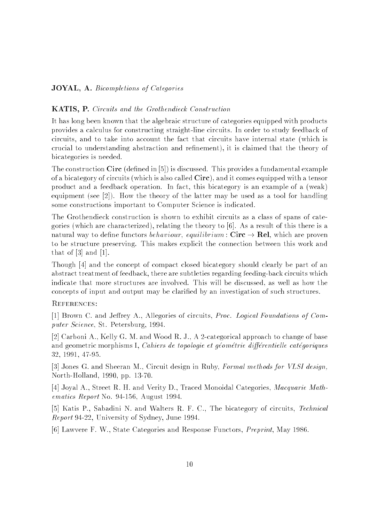## JOYAL, A. Bicompletions of Categories

## KATIS, P. Circuits and the Grothendieck Construction

It has long been known that the algebraic structure of categories equipped with products provides a calculus for constructing straight-line circuits. In order to study feedback of circuits, and to take into account the fact that circuits have internal state (which is crucial to understanding abstraction and refinement), it is claimed that the theory of bicategories is needed.

The construction  $Circ$  (defined in [5]) is discussed. This provides a fundamental example of a bicategory of circuits (which is also called Circ), and it comes equipped with a tensor product and a feedback operation. In fact, this bicategory is an example of a (weak) equipment (see [2]). How the theory of the latter may be used as a tool for handling some constructions important to Computer Science is indicated.

The Grothendieck construction is shown to exhibit circuits as a class of spans of categories (which are characterized), relating the theory to  $[6]$ . As a result of this there is a natural way to define functors *behaviour*, *equilibrium* : Circ  $\rightarrow$  Rel, which are proven to be structure preserving. This makes explicit the connection between this work and that of  $[3]$  and  $[1]$ .

Though [4] and the concept of compact closed bicategory should clearly be part of an abstract treatment of feedback, there are subtleties regarding feeding-back circuits which indicate that more structures are involved. This will be discussed, as well as how the concepts of input and output may be claried by an investigation of such structures.

#### REFERENCES:

[1] Brown C. and Jeffrey A., Allegories of circuits, Proc. Logical Foundations of Computer Science, St. Petersburg, 1994.

[2] Carboni A., Kelly G. M. and Wood R. J., A 2-categorical approach to change of base and geometric morphisms I, Cahiers de topologie et géométrie différentielle catégoriques 32, 1991, 47-95.

[3] Jones G. and Sheeran M., Circuit design in Ruby, Formal methods for VLSI design, North-Holland, 1990, pp. 13-70.

[4] Joyal A., Street R. H. and Verity D., Traced Monoidal Categories, Macquarie Mathematics Report No. 94-156, August 1994.

[5] Katis P., Sabadini N. and Walters R. F. C., The bicategory of circuits, Technical Report 94-22, University of Sydney, June 1994.

[6] Lawvere F. W., State Categories and Response Functors, Preprint, May 1986.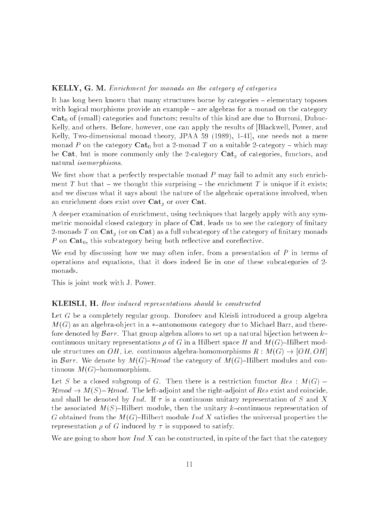### KELLY, G. M. Enrichment for monads on the category of categories

It has long been known that many structures borne by categories  $-$  elementary toposes with logical morphisms provide an example  $-$  are algebras for a monad on the category  $Cat<sub>0</sub>$  of (small) categories and functors; results of this kind are due to Burroni, Dubuc-Kelly, and others. Before, however, one can apply the results of [Blackwell, Power, and Kelly, Two-dimensional monad theory, JPAA 59 (1989), 1-41], one needs not a mere monad P on the category  $\text{Cat}_0$  but a 2-monad T on a suitable 2-category – which may be Cat, but is more commonly only the 2-category  $Cat_q$  of categories, functors, and natural isomorphisms.

We first show that a perfectly respectable monad  $P$  may fail to admit any such enrichment T but that – we thought this surprising – the enrichment T is unique if it exists; and we discuss what it says about the nature of the algebraic operations involved, when an enrichment does exist over  $Cat<sub>g</sub>$  or over Cat.

A deeper examination of enrichment, using techniques that largely apply with any symmetric monoidal closed category in place of  $Cat$ , leads us to see the category of finitary 2-monads T on  $\mathbf{Cat}_{\sigma}$  (or on  $\mathbf{Cat}$ ) as a full subcategory of the category of finitary monads P on  $Cat_0$ , this subcategory being both reflective and coreflective.

We end by discussing how we may often infer, from a presentation of  $P$  in terms of operations and equations, that it does indeed lie in one of these subcategories of 2 monads.

This is joint work with J. Power.

#### KLEISLI, H. How induced representations should be constructed

Let G be a completely regular group. Dorofeev and Kleisli introduced a group algebra  $M(G)$  as an algebra-object in a \*-autonomous category due to Michael Barr, and therefore denoted by  $\mathcal{B}arr$ . That group algebra allows to set up a natural bijection between  $k$ continuous unitary representations  $\rho$  of G in a Hilbert space H and  $M(G)$ -Hilbert module structures on  $OH$ , i.e. continuous algebra-homomorphisms  $R : M(G) \rightarrow [OH, OH]$ in Barr. We denote by  $M(G)$ -Hmod the category of  $M(G)$ -Hilbert modules and continuous  $M(G)$ -homomorphism.

Let S be a closed subgroup of G. Then there is a restriction functor  $Res: M(G)$  –  $\mathcal{H}mod \to M(S)-\mathcal{H}mod$ . The left-adjoint and the right-adjoint of Res exist and coincide, and shall be denoted by Ind. If  $\tau$  is a continuous unitary representation of S and X the associated  $M(S)$ -Hilbert module, then the unitary k-continuous representation of G obtained from the  $M(G)$ -Hilbert module Ind X satisfies the universal properties the representation  $\rho$  of G induced by  $\tau$  is supposed to satisfy.

We are going to show how Ind X can be constructed, in spite of the fact that the category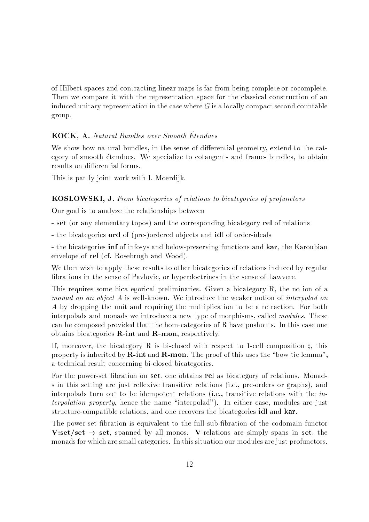of Hilbert spaces and contracting linear maps is far from being complete or cocomplete. Then we compare it with the representation space for the classical construction of an induced unitary representation in the case where  $G$  is a locally compact second countable group.

## KOCK, A. Natural Bundles over Smooth Étendues

We show how natural bundles, in the sense of differential geometry, extend to the category of smooth etendues. We specialize to cotangent- and frame- bundles, to obtain results on differential forms.

This is partly joint work with I. Moerdijk.

#### KOSLOWSKI, J. From bicategories of relations to bicategories of profunctors

Our goal is to analyze the relationships between

- set (or any elementary topos) and the corresponding bicategory rel of relations

- the bicategories **ord** of (pre-)ordered objects and **idl** of order-ideals

- the bicategories inf of infosys and below-preserving functions and kar, the Karoubian envelope of rel (cf. Rosebrugh and Wood).

We then wish to apply these results to other bicategories of relations induced by regular brations in the sense of Pavlovic, or hyperdoctrines in the sense of Lawvere.

This requires some bicategorical preliminaries. Given a bicategory R, the notion of a monad on an object A is well-known. We introduce the weaker notion of interpolad on A by dropping the unit and requiring the multiplication to be a retraction. For both interpolads and monads we introduce a new type of morphisms, called *modules*. These can be composed provided that the hom-categories of R have pushouts. In this case one obtains bicategories  $\mathbf{R}\text{-}\mathbf{int}$  and  $\mathbf{R}\text{-}\mathbf{mon}$ , respectively.

If, moreover, the bicategory R is bi-closed with respect to 1-cell composition; this property is inherited by  $\bf R\text{-}int$  and  $\bf R\text{-}mon$ . The proof of this uses the "bow-tie lemma". a technical result concerning bi-closed bicategories.

For the power-set bration on set, one obtains rel as bicategory of relations. Monads in this setting are just reflexive transitive relations (i.e., pre-orders or graphs), and interpolads turn out to be idempotent relations (i.e., transitive relations with the interpolation property, hence the name "interpolad"). In either case, modules are just structure-compatible relations, and one recovers the bicategories idl and kar.

The power-set fibration is equivalent to the full sub-fibration of the codomain functor V:set/set  $\rightarrow$  set, spanned by all monos. V-relations are simply spans in set, the monads for which are small categories. In this situation our modules are just profunctors.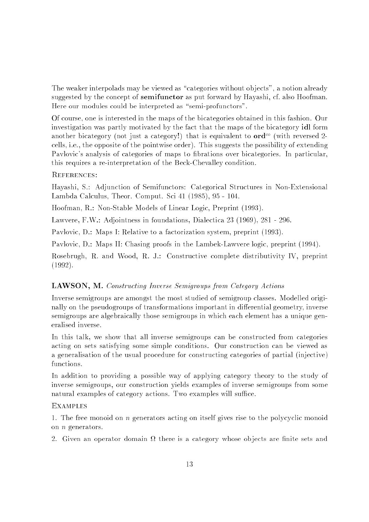The weaker interpolads may be viewed as "categories without objects", a notion already suggested by the concept of **semifunctor** as put forward by Hayashi, cf. also Hoofman. Here our modules could be interpreted as "semi-profunctors".

Of course, one is interested in the maps of the bicategories obtained in this fashion. Our investigation was partly motivated by the fact that the maps of the bicategory idl form another bicategory (not just a category!) that is equivalent to  $\mathbf{ord}^{\infty}$  (with reversed 2cells, i.e., the opposite of the pointwise order). This suggests the possibility of extending Pavlovic's analysis of categories of maps to fibrations over bicategories. In particular, this requires a re-interpretation of the Beck-Chevalley condition.

## References:

Hayashi, S.: Adjunction of Semifunctors: Categorical Structures in Non-Extensional Lambda Calculus, Theor. Comput. Sci 41 (1985), 95 - 104.

Hoofman, R.: Non-Stable Models of Linear Logic, Preprint (1993).

Lawvere, F.W.: Adjointness in foundations, Dialectica 23 (1969), 281 - 296.

Pavlovic, D.: Maps I: Relative to a factorization system, preprint (1993).

Pavlovic, D.: Maps II: Chasing proofs in the Lambek-Lawvere logic, preprint (1994).

Rosebrugh, R. and Wood, R. J.: Constructive complete distributivity IV, preprint (1992).

## LAWSON, M. Constructing Inverse Semigroups from Category Actions

Inverse semigroups are amongst the most studied of semigroup classes. Modelled originally on the pseudogroups of transformations important in differential geometry, inverse semigroups are algebraically those semigroups in which each element has a unique generalised inverse.

In this talk, we show that all inverse semigroups can be constructed from categories acting on sets satisfying some simple conditions. Our construction can be viewed as a generalisation of the usual procedure for constructing categories of partial (injective) functions.

In addition to providing a possible way of applying category theory to the study of inverse semigroups, our construction yields examples of inverse semigroups from some natural examples of category actions. Two examples will suffice.

## **EXAMPLES**

1. The free monoid on n generators acting on itself gives rise to the polycyclic monoid on n generators.

2. Given an operator domain there is a category whose ob jects are nite sets and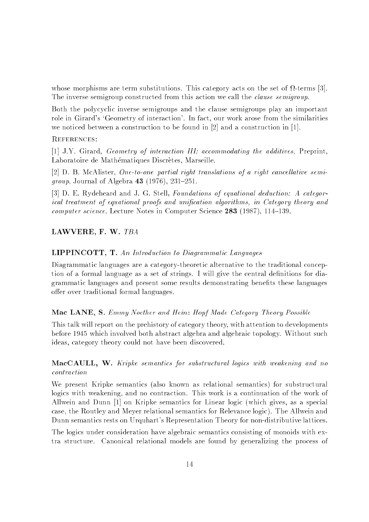whose morphisms are terms substitutions. This category acts on the set of the set of the set of  $\mathbb{S}^1$ The inverse semigroup constructed from this action we call the *clause semigroup*.

Both the polycyclic inverse semigroups and the clause semigroups play an important role in Girard's `Geometry of interaction'. In fact, our work arose from the similarities we noticed between a construction to be found in [2] and a construction in [1].

#### REFERENCES:

[1] J.Y. Girard, Geometry of interaction III: accommodating the additives, Preprint, Laboratoire de Mathématiques Discrètes, Marseille.

[2] D. B. McAlister, One-to-one partial right translations of a right cancellative semi*group*, Journal of Algebra  $43$  (1976), 231-251.

[3] D. E. Rydeheard and J. G. Stell, Foundations of equational deduction: A categorical treatment of equational proofs and unification algorithms, in Category theory and computer science, Lecture Notes in Computer Science 283 (1987), 114-139.

## LAWVERE, F. W. TBA

#### LIPPINCOTT, T. An Introduction to Diagrammatic Languages

Diagrammatic languages are a category-theoretic alternative to the traditional conception of a formal language as a set of strings. I will give the central definitions for diagrammatic languages and present some results demonstrating benefits these languages offer over traditional formal languages.

## Mac LANE, S. Emmy Noether and Heinz Hopf Made Category Theory Possible

This talk will report on the prehistory of category theory, with attention to developments before 1945 which involved both abstract algebra and algebraic topology. Without such ideas, category theory could not have been discovered.

 $\n **MacCAULL**\n **W**\n **kriske semantics for**\n **substructural**\n **logies with**\n **weakening and no**$ contraction

We present Kripke semantics (also known as relational semantics) for substructural logics with weakening, and no contraction. This work is a continuation of the work of Allwein and Dunn [1] on Kripke semantics for Linear logic (which gives, as a special case, the Routley and Meyer relational semantics for Relevance logic). The Allwein and Dunn semantics rests on Urquhart's Representation Theory for non-distributive lattices.

The logics under consideration have algebraic semantics consisting of monoids with extra structure. Canonical relational models are found by generalizing the process of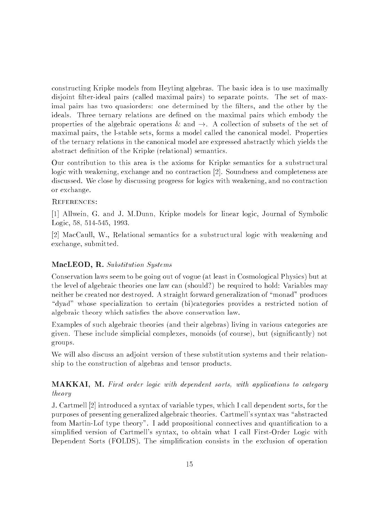constructing Kripke models from Heyting algebras. The basic idea is to use maximally disjoint filter-ideal pairs (called maximal pairs) to separate points. The set of maximal pairs has two quasiorders: one determined by the filters, and the other by the ideals. Three ternary relations are defined on the maximal pairs which embody the properties of the algebraic operations  $\&$  and  $\rightarrow$ . A collection of subsets of the set of maximal pairs, the l-stable sets, forms a model called the canonical model. Properties of the ternary relations in the canonical model are expressed abstractly which yields the abstract definition of the Kripke (relational) semantics.

Our contribution to this area is the axioms for Kripke semantics for a substructural logic with weakening, exchange and no contraction [2]. Soundness and completeness are discussed. We close by discussing progress for logics with weakening, and no contraction or exchange.

#### References:

[1] Allwein, G. and J. M.Dunn, Kripke models for linear logic, Journal of Symbolic Logic, 58, 514-545, 1993.

[2] MacCaull, W., Relational semantics for a substructural logic with weakening and exchange, submitted.

## MacLEOD, R. Substitution Systems

Conservation laws seem to be going out of vogue (at least in Cosmological Physics) but at the level of algebraic theories one law can (should?) be required to hold: Variables may neither be created nor destroyed. A straight forward generalization of "monad" produces "dyad" whose specialization to certain (bi)categories provides a restricted notion of algebraic theory which satisfies the above conservation law.

Examples of such algebraic theories (and their algebras) living in various categories are given. These include simplicial complexes, monoids (of course), but (signicantly) not groups.

We will also discuss an adjoint version of these substitution systems and their relationship to the construction of algebras and tensor products.

**MAKKAI, M.** First order logic with dependent sorts, with applications to category theory

J. Cartmell [2] introduced a syntax of variable types, which I call dependent sorts, for the purposes of presenting generalized algebraic theories. Cartmell's syntax was "abstracted from Martin-Lof type theory". I add propositional connectives and quantification to a simplied version of Cartmell's syntax, to obtain what I call First-Order Logic with Dependent Sorts (FOLDS). The simplification consists in the exclusion of operation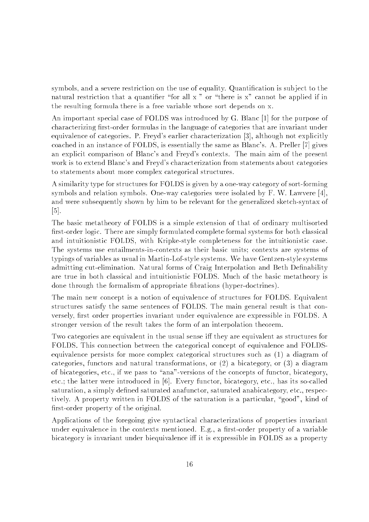symbols, and a severe restriction on the use of equality. Quantification is subject to the natural restriction that a quantifier "for all x" or "there is  $x$ " cannot be applied if in the resulting formula there is a free variable whose sort depends on x.

An important special case of FOLDS was introduced by G. Blanc [1] for the purpose of characterizing first-order formulas in the language of categories that are invariant under equivalence of categories. P. Freyd's earlier characterization [3], although not explicitly coached in an instance of FOLDS, is essentially the same as Blanc's. A. Preller [7] gives an explicit comparison of Blanc's and Freyd's contexts. The main aim of the present work is to extend Blanc's and Freyd's characterization from statements about categories to statements about more complex categorical structures.

A similarity type for structures for FOLDS is given by a one-way category of sort-forming symbols and relation symbols. One-way categories were isolated by F. W. Lawvere [4], and were subsequently shown by him to be relevant for the generalized sketch-syntax of [5].

The basic metatheory of FOLDS is a simple extension of that of ordinary multisorted first-order logic. There are simply formulated complete formal systems for both classical and intuitionistic FOLDS, with Kripke-style completeness for the intuitionistic case. The systems use entailments-in-contexts as their basic units; contexts are systems of typings of variables as usual in Martin-Lof-style systems. We have Gentzen-style systems admitting cut-elimination. Natural forms of Craig Interpolation and Beth Definability are true in both classical and intuitionistic FOLDS. Much of the basic metatheory is done through the formalism of appropriate brations (hyper-doctrines).

The main new concept is a notion of equivalence of structures for FOLDS. Equivalent structures satisfy the same sentences of FOLDS. The main general result is that conversely, first order properties invariant under equivalence are expressible in FOLDS. A stronger version of the result takes the form of an interpolation theorem.

Two categories are equivalent in the usual sense iff they are equivalent as structures for FOLDS. This connection between the categorical concept of equivalence and FOLDSequivalence persists for more complex categorical structures such as (1) a diagram of categories, functors and natural transformations, or (2) a bicategory, or (3) a diagram of bicategories, etc., if we pass to "ana"-versions of the concepts of functor, bicategory, etc.; the latter were introduced in [6]. Every functor, bicategory, etc., has its so-called saturation, a simply defined saturated anafunctor, saturated anabicategory, etc., respectively. A property written in FOLDS of the saturation is a particular, "good", kind of first-order property of the original.

Applications of the foregoing give syntactical characterizations of properties invariant under equivalence in the contexts mentioned. E.g., a first-order property of a variable bicategory is invariant under biequivalence iff it is expressible in FOLDS as a property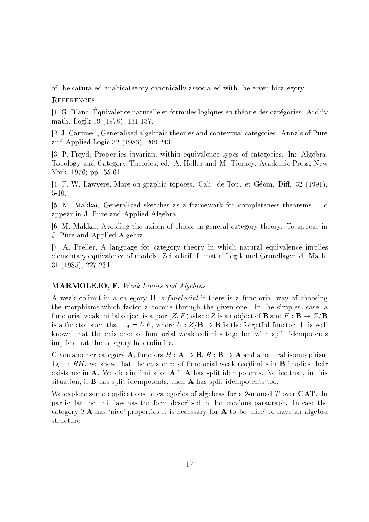of the saturated anabicategory canonically associated with the given bicategory.

## **REFERENCES**

[1] G. Blanc, Equivalence naturelle et formules logiques en theorie des categories. Archiv math. Logik 19 (1978), 131-137.

[2] J. Cartmell, Generalised algebraic theories and contextual categories. Annals of Pure and Applied Logic 32 (1986), 209-243.

[3] P. Freyd, Properties invariant within equivalence types of categories. In: Algebra, Topology and Category Theories, ed. A. Heller and M. Tierney, Academic Press, New York, 1976; pp. 55-61.

[4] F. W. Lawvere, More on graphic toposes. Cah. de Top. et Géom. Diff. 32 (1991), 5-10.

[5] M. Makkai, Generalized sketches as a framework for completeness theorems. To appear in J. Pure and Applied Algebra.

[6] M. Makkai, Avoiding the axiom of choice in general category theory. To appear in J. Pure and Applied Algebra.

[7] A. Preller, A language for category theory in which natural equivalence implies elementary equivalence of models. Zeitschrift f. math. Logik und Grundlagen d. Math. 31 (1985), 227-234.

## MARMOLEJO, F. Weak Limits and Algebras

A weak colimit in a category  $\bf{B}$  is *functorial* if there is a functorial way of choosing the morphisms which factor a cocone through the given one. In the simplest case, a functorial weak initial object is a pair  $(Z, F)$  where Z is an object of **B** and  $F : \mathbf{B} \to Z/\mathbf{B}$ is a functor such that  $1_A = UF$ , where  $U : Z/\mathbf{B} \to \mathbf{B}$  is the forgetful functor. It is well known that the existence of functorial weak colimits together with split idempotents implies that the category has colimits.

Given another category **A**, functors  $H : \mathbf{A} \to \mathbf{B}$ ,  $R : \mathbf{B} \to \mathbf{A}$  and a natural isomorphism  $1_A \rightarrow RH$ , we show that the existence of functorial weak (co)limits in **B** implies their existence in  $A$ . We obtain limits for  $A$  if  $A$  has split idempotents. Notice that, in this situation, if **B** has split idempotents, then **A** has split idempotents too.

We explore some applications to categories of algebras for a 2-monad  $T$  over  $CAT$ . In particular the unit law has the form described in the previous paragraph. In case the category  $T\mathbf{A}$  has 'nice' properties it is necessary for  $\mathbf{A}$  to be 'nice' to have an algebra structure.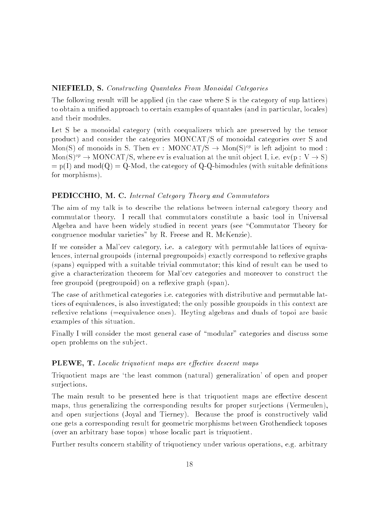## NIEFIELD, S. Constructing Quantales From Monoidal Categories

The following result will be applied (in the case where S is the category of sup lattices) to obtain a unied approach to certain examples of quantales (and in particular, locales) and their modules.

Let S be a monoidal category (with coequalizers which are preserved by the tensor product) and consider the categories MONCAT/S of monoidal categories over S and Mon(S) of monoids in S. Then ev : MONCAT/S  $\rightarrow$  Mon(S)<sup>op</sup> is left adjoint to mod :  $Mon(S)^{op} \to MONCAT/S$ , where ev is evaluation at the unit object I, i.e.  $ev(p: V \to S)$  $= p(I)$  and mod $(Q) = Q$ -Mod, the category of Q-Q-bimodules (with suitable definitions for morphisms).

## PEDICCHIO, M. C. Internal Category Theory and Commutators

The aim of my talk is to describe the relations between internal category theory and commutator theory. I recall that commutators constitute a basic tool in Universal Algebra and have been widely studied in recent years (see \Commutator Theory for congruence modular varieties" by R. Freese and R. McKenzie).

If we consider a Mal'cev category, i.e. a category with permutable lattices of equivalences, internal groupoids (internal pregroupoids) exactly correspond to reflexive graphs (spans) equipped with a suitable trivial commutator; this kind of result can be used to give a characterization theorem for Mal'cev categories and moreover to construct the free groupoid (pregroupoid) on a reflexive graph (span).

The case of arithmetical categories i.e. categories with distributive and permutable lattices of equivalences, is also investigated; the only possible groupoids in this context are reflexive relations (=equivalence ones). Heyting algebras and duals of topoi are basic examples of this situation.

Finally I will consider the most general case of "modular" categories and discuss some open problems on the sub ject.

#### **PLEWE, T.** Localic triquotient maps are effective descent maps

Triquotient maps are `the least common (natural) generalization' of open and proper suriections. surjections.

The main result to be presented here is that triquotient maps are effective descent maps, thus generalizing the corresponding results for proper surjections (Vermeulen), and open surjections (Joyal and Tierney). Because the proof is constructively valid one gets a corresponding result for geometric morphisms between Grothendieck toposes (over an arbitrary base topos) whose localic part is triquotient.

Further results concern stability of triquotiency under various operations, e.g. arbitrary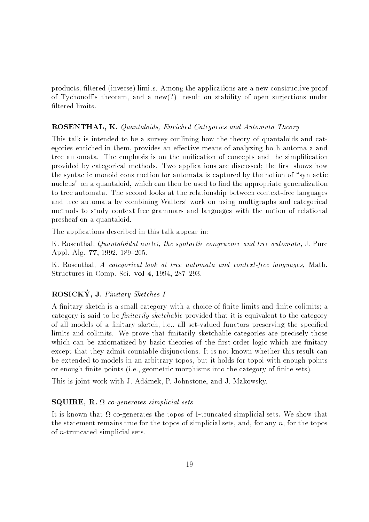products, ltered (inverse) limits. Among the applications are a new constructive proof of Tychonoff's theorem, and a new(?) result on stability of open surjections under filtered limits.

## ROSENTHAL, K. Quantaloids, Enriched Categories and Automata Theory

This talk is intended to be a survey outlining how the theory of quantaloids and categories enriched in them, provides an effective means of analyzing both automata and tree automata. The emphasis is on the unification of concepts and the simplification provided by categorical methods. Two applications are discussed; the first shows how the syntactic monoid construction for automata is captured by the notion of "syntactic nucleus" on a quantaloid, which can then be used to find the appropriate generalization to tree automata. The second looks at the relationship between context-free languages and tree automata by combining Walters' work on using multigraphs and categorical methods to study context-free grammars and languages with the notion of relational presheaf on a quantaloid.

The applications described in this talk appear in:

K. Rosenthal, Quantaloidal nuclei, the syntactic congruence and tree automata, J. Pure Appl. Alg. 77, 1992, 189-205.

K. Rosenthal, A categorical look at tree automata and context-free languages, Math. Structures in Comp. Sci. vol 4, 1994,  $287-293$ .

# ROSICKY, J. Finitary Sketches I

A finitary sketch is a small category with a choice of finite limits and finite colimits; a category is said to be *finitarily sketchable* provided that it is equivalent to the category of all models of a finitary sketch, i.e., all set-valued functors preserving the specified limits and colimits. We prove that finitarily sketchable categories are precisely those which can be axiomatized by basic theories of the first-order logic which are finitary except that they admit countable disjunctions. It is not known whether this result can be extended to models in an arbitrary topos, but it holds for topoi with enough points or enough finite points (i.e., geometric morphisms into the category of finite sets).

This is joint work with J. Adamek, P. Johnstone, and J. Makowsky.

#### ${\bf SQUIRE},\,{\bf R}.$   $\Omega$  co-generates simplicial sets

. It is the that is to give the top the topos of the the theory that the the the the the statement remains true for the topos of simplicial sets, and, for any  $n$ , for the topos of n-truncated simplicial sets.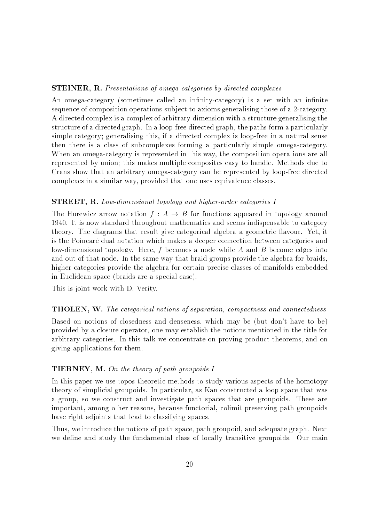#### STEINER, R. Presentations of omega-categories by directed complexes

An omega-category (sometimes called an infinity-category) is a set with an infinite sequence of composition operations sub ject to axioms generalising those of a 2-category. A directed complex is a complex of arbitrary dimension with a structure generalising the structure of a directed graph. In a loop-free directed graph, the paths form a particularly simple category; generalising this, if a directed complex is loop-free in a natural sense then there is a class of subcomplexes forming a particularly simple omega-category. When an omega-category is represented in this way, the composition operations are all represented by union; this makes multiple composites easy to handle. Methods due to Crans show that an arbitrary omega-category can be represented by loop-free directed complexes in a similar way, provided that one uses equivalence classes.

#### STREET, R. Low-dimensional topology and higher-order categories I

The Hurewicz arrow notation  $f : A \rightarrow B$  for functions appeared in topology around 1940. It is now standard throughout mathematics and seems indispensable to category theory. The diagrams that result give categorical algebra a geometric flavour. Yet, it is the Poincaré dual notation which makes a deeper connection between categories and low-dimensional topology. Here, f becomes a node while A and B become edges into and out of that node. In the same way that braid groups provide the algebra for braids, higher categories provide the algebra for certain precise classes of manifolds embedded in Euclidean space (braids are a special case).

This is joint work with D. Verity.

#### **THOLEN, W.** The categorical notions of separation, compactness and connectedness

Based on notions of closedness and denseness, which may be (but don't have to be) provided by a closure operator, one may establish the notions mentioned in the title for arbitrary categories. In this talk we concentrate on proving product theorems, and on giving applications for them.

#### TIERNEY, M. On the theory of path groupoids I

In this paper we use topos theoretic methods to study various aspects of the homotopy theory of simplicial groupoids. In particular, as Kan constructed a loop space that was a group, so we construct and investigate path spaces that are groupoids. These are important, among other reasons, because functorial, colimit preserving path groupoids have right adjoints that lead to classifying spaces.

Thus, we introduce the notions of path space, path groupoid, and adequate graph. Next we define and study the fundamental class of locally transitive groupoids. Our main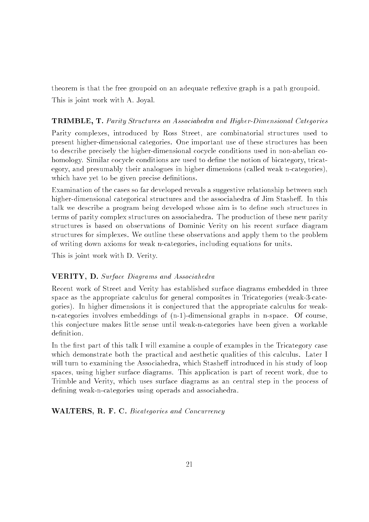theorem is that the free groupoid on an adequate reflexive graph is a path groupoid. This is joint work with A. Joyal.

## TRIMBLE, T. Parity Structures on Associahedra and Higher-Dimensional Categories

Parity complexes, introduced by Ross Street, are combinatorial structures used to present higher-dimensional categories. One important use of these structures has been to describe precisely the higher-dimensional cocycle conditions used in non-abelian cohomology. Similar cocycle conditions are used to define the notion of bicategory, tricategory, and presumably their analogues in higher dimensions (called weak n-categories), which have yet to be given precise definitions.

Examination of the cases so far developed reveals a suggestive relationship between such higher-dimensional categorical structures and the associahedra of Jim Stasheff. In this talk we describe a program being developed whose aim is to define such structures in terms of parity complex structures on associahedra. The production of these new parity structures is based on observations of Dominic Verity on his recent surface diagram structures for simplexes. We outline these observations and apply them to the problem of writing down axioms for weak n-categories, including equations for units.

This is joint work with D. Verity.

## VERITY, D. Surface Diagrams and Associahedra

Recent work of Street and Verity has established surface diagrams embedded in three space as the appropriate calculus for general composites in Tricategories (weak-3-categories). In higher dimensions it is conjectured that the appropriate calculus for weakn-categories involves embeddings of (n-1)-dimensional graphs in n-space. Of course, this conjecture makes little sense until weak-n-categories have been given a workable

In the first part of this talk I will examine a couple of examples in the Tricategory case which demonstrate both the practical and aesthetic qualities of this calculus. Later I will turn to examining the Associahedra, which Stasheff introduced in his study of loop spaces, using higher surface diagrams. This application is part of recent work, due to Trimble and Verity, which uses surface diagrams as an central step in the process of defining weak-n-categories using operads and associahedra.

WALTERS, R. F. C. Bicategories and Concurrency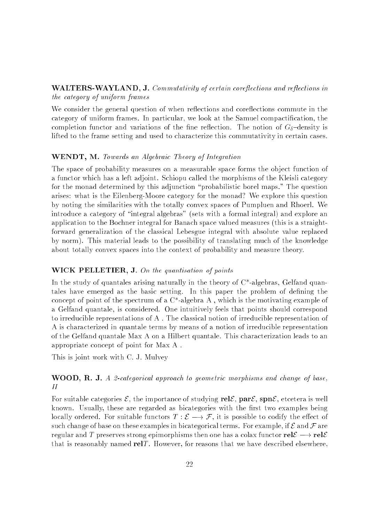## WALTERS-WAYLAND, J. Commutativity of certain coreflections and reflections in the category of uniform frames

We consider the general question of when reflections and coreflections commute in the category of uniform frames. In particular, we look at the Samuel compactication, the completion functor and variations of the fine reflection. The notion of  $G_{\delta}$ -density is lifted to the frame setting and used to characterize this commutativity in certain cases.

## WENDT, M. Towards an Algebraic Theory of Integration

The space of probability measures on a measurable space forms the object function of a functor which has a left adjoint. Schiopu called the morphisms of the Kleisli category for the monad determined by this adjunction \probabilistic borel maps." The question arises: what is the Eilenberg-Moore category for the monad? We explore this question by noting the similarities with the totally convex spaces of Pumpluen and Rhoerl. We introduce a category of "integral algebras" (sets with a formal integral) and explore an application to the Bochner integral for Banach space valued measures (this is a straightforward generalization of the classical Lebesgue integral with absolute value replaced by norm). This material leads to the possibility of translating much of the knowledge about totally convex spaces into the context of probability and measure theory.

## WICK PELLETIER, J. On the quantisation of points

In the study of quantales arising naturally in the theory of  $C^*$ -algebras, Gelfand quantales have emerged as the basic setting. In this paper the problem of defining the concept of point of the spectrum of a C\*-algebra A , which is the motivating example of a Gelfand quantale, is considered. One intuitively feels that points should correspond to irreducible representations of A . The classical notion of irreducible representation of A is characterized in quantale terms by means of a notion of irreducible representation of the Gelfand quantale Max A on a Hilbert quantale. This characterization leads to an appropriate concept of point for Max A .

This is joint work with C. J. Mulvey

# **WOOD, R. J.** A 2-categorical approach to geometric morphisms and change of base.  $II$

For suitable categories  $\mathcal{E}$ , the importance of studying rel $\mathcal{E}$ , par $\mathcal{E}$ , spn $\mathcal{E}$ , etcetera is well known. Usually, these are regarded as bicategories with the first two examples being locally ordered. For suitable functors  $T : \mathcal{E} \longrightarrow \mathcal{F}$ , it is possible to codify the effect of such change of base on these examples in bicategorical terms. For example, if  $\mathcal E$  and  $\mathcal F$  are regular and T preserves strong epimorphisms then one has a colax functor  $rel \mathcal{E} \longrightarrow rel \mathcal{E}$ that is reasonably named rel<sub>T</sub>. However, for reasons that we have described elsewhere,